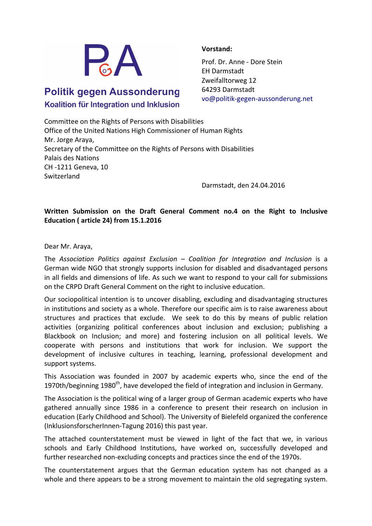

## **Politik gegen Aussonderung** Koalition für Integration und Inklusion

## **Vorstand:**

Prof. Dr. Anne - Dore Stein EH Darmstadt Zweifalltorweg 12 64293 Darmstadt vo@politik-gegen-aussonderung.net

Committee on the Rights of Persons with Disabilities Office of the United Nations High Commissioner of Human Rights Mr. Jorge Araya, Secretary of the Committee on the Rights of Persons with Disabilities Palais des Nations CH -1211 Geneva, 10 Switzerland

Darmstadt, den 24.04.2016

## Written Submission on the Draft General Comment no.4 on the Right to Inclusive **Education ( article 24) from 15.1.2016**

Dear Mr. Araya,

The Association Politics against Exclusion – Coalition for Integration and Inclusion is a German wide NGO that strongly supports inclusion for disabled and disadvantaged persons in all fields and dimensions of life. As such we want to respond to your call for submissions on the CRPD Draft General Comment on the right to inclusive education.

Our sociopolitical intention is to uncover disabling, excluding and disadvantaging structures in institutions and society as a whole. Therefore our specific aim is to raise awareness about structures and practices that exclude. We seek to do this by means of public relation activities (organizing political conferences about inclusion and exclusion; publishing a Blackbook on Inclusion; and more) and fostering inclusion on all political levels. We cooperate with persons and institutions that work for inclusion. We support the development of inclusive cultures in teaching, learning, professional development and support systems.

This Association was founded in 2007 by academic experts who, since the end of the 1970th/beginning 1980<sup>th</sup>, have developed the field of integration and inclusion in Germany.

The Association is the political wing of a larger group of German academic experts who have gathered annually since 1986 in a conference to present their research on inclusion in education (Early Childhood and School). The University of Bielefeld organized the conference (InklusionsforscherInnen-Tagung 2016) this past year.

The attached counterstatement must be viewed in light of the fact that we, in various schools and Early Childhood Institutions, have worked on, successfully developed and further researched non-excluding concepts and practices since the end of the 1970s.

The counterstatement argues that the German education system has not changed as a whole and there appears to be a strong movement to maintain the old segregating system.